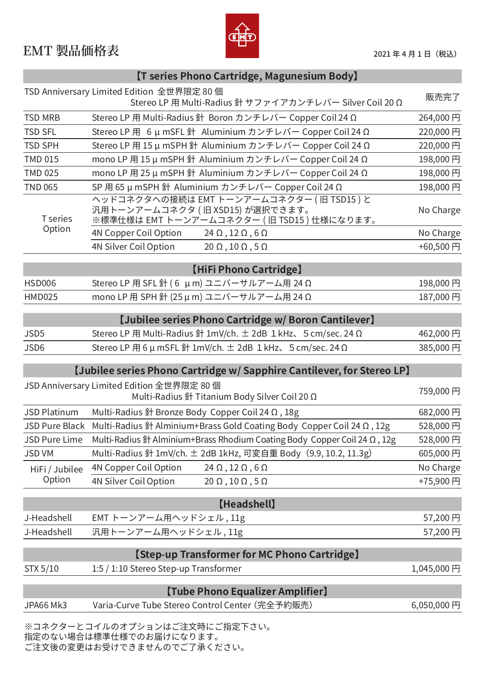## EMT 製品価格表 **No. 2021年4月1日 (税込)**



| [T series Phono Cartridge, Magunesium Body] |                                                                                                                           |            |  |
|---------------------------------------------|---------------------------------------------------------------------------------------------------------------------------|------------|--|
|                                             | TSD Anniversary Limited Edition 全世界限定 80 個<br>Stereo LP 用 Multi-Radius 針 サファイアカンチレバー Silver Coil 20 Ω                     | 販売完了       |  |
| <b>TSD MRB</b>                              | Stereo LP 用 Multi-Radius 針 Boron カンチレバー Copper Coil 24 Ω                                                                  | 264,000円   |  |
| <b>TSD SFL</b>                              | Stereo LP 用 6 μ mSFL 針 Aluminium カンチレバー Copper Coil 24 Ω                                                                  | 220,000円   |  |
| <b>TSD SPH</b>                              | Stereo LP 用 15 μ mSPH 針 Aluminium カンチレバー Copper Coil 24 Ω                                                                 | 220,000円   |  |
| <b>TMD 015</b>                              | mono LP 用 15 μ mSPH 針 Aluminium カンチレバー Copper Coil 24 Ω                                                                   | 198,000円   |  |
| <b>TMD 025</b>                              | mono LP 用 25 μ mSPH 針 Aluminium カンチレバー Copper Coil 24 Ω                                                                   | 198,000円   |  |
| <b>TND 065</b>                              | SP 用 65 μ mSPH 針 Aluminium カンチレバー Copper Coil 24 Ω                                                                        | 198,000円   |  |
| T series<br>Option                          | ヘッドコネクタへの接続は EMT トーンアームコネクター (旧 TSD15)と<br>汎用トーンアームコネクタ (旧 XSD15) が選択できます。<br>※標準仕様は EMT トーンアームコネクター ( 旧 TSD15 ) 仕様になります。 | No Charge  |  |
|                                             | 4N Copper Coil Option<br>$24 \Omega$ , $12 \Omega$ , $6 \Omega$                                                           | No Charge  |  |
|                                             | 4N Silver Coil Option<br>$20 \Omega$ , $10 \Omega$ , $5 \Omega$                                                           | +60,500円   |  |
|                                             | [HiFi Phono Cartridge]                                                                                                    |            |  |
| <b>HSD006</b>                               | Stereo LP 用 SFL 針 (6 μm) ユニバーサルアーム用 24 Ω                                                                                  | 198,000円   |  |
| <b>HMD025</b>                               | mono LP 用 SPH 針 (25 μ m) ユニバーサルアーム用 24 Ω                                                                                  | 187,000円   |  |
|                                             | [Jubilee series Phono Cartridge w/ Boron Cantilever]                                                                      |            |  |
| JSD5                                        | Stereo LP 用 Multi-Radius 針 1mV/ch. $\pm$ 2dB 1 kHz、5 cm/sec. 24 $\Omega$                                                  | 462,000円   |  |
| JSD6                                        | Stereo LP 用 6 μ mSFL 針 1mV/ch. ± 2dB 1 kHz、5 cm/sec. 24 Ω                                                                 | 385,000円   |  |
|                                             | [Jubilee series Phono Cartridge w/ Sapphire Cantilever, for Stereo LP]                                                    |            |  |
|                                             | JSD Anniversary Limited Edition 全世界限定 80 個<br>Multi-Radius 針 Titanium Body Silver Coil 20 Ω                               | 759,000円   |  |
| JSD Platinum                                | Multi-Radius $\frac{21}{21}$ Bronze Body Copper Coil 24 $\Omega$ , 18g                                                    | 682,000円   |  |
|                                             | JSD Pure Black Multi-Radius 針 Alminium+Brass Gold Coating Body Copper Coil 24 Ω, 12g                                      | 528,000円   |  |
| <b>JSD Pure Lime</b>                        | Multi-Radius 針 Alminium+Brass Rhodium Coating Body Copper Coil 24 $\Omega$ , 12g                                          | 528,000円   |  |
| <b>JSD VM</b>                               | Multi-Radius 針 1mV/ch. ± 2dB 1kHz, 可変自重 Body (9.9, 10.2, 11.3g)                                                           | 605,000円   |  |
| HiFi / Jubilee<br>Option                    | <b>4N Copper Coil Option</b><br>$24 \Omega$ , $12 \Omega$ , $6 \Omega$                                                    | No Charge  |  |
|                                             | 4N Silver Coil Option<br>$20 \Omega$ , $10 \Omega$ , $5 \Omega$                                                           | +75,900円   |  |
|                                             | [Headshell]                                                                                                               |            |  |
| J-Headshell                                 | EMT トーンアーム用ヘッドシェル, 11g                                                                                                    | 57,200円    |  |
| J-Headshell                                 | 汎用トーンアーム用ヘッドシェル, 11g                                                                                                      | 57,200円    |  |
|                                             | [Step-up Transformer for MC Phono Cartridge]                                                                              |            |  |
| STX 5/10                                    | 1:5 / 1:10 Stereo Step-up Transformer                                                                                     | 1,045,000円 |  |
|                                             |                                                                                                                           |            |  |
|                                             | [Tube Phono Equalizer Amplifier]                                                                                          |            |  |
| JPA66 Mk3                                   | Varia-Curve Tube Stereo Control Center (完全予約販売)                                                                           | 6,050,000円 |  |
|                                             | ※コネクターとコイルのオプションはご注文時にご指定下さい。                                                                                             |            |  |

※コネクターとコイルのオプションはこ注文時にこ指定下さい。 脂定のない場合は標準<mark>仕様でのお届けになります。</mark> ご注文後の変更はお受けできませんのでご了承ください。